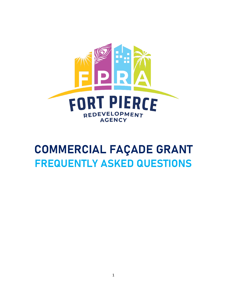

# **COMMERCIAL FAÇADE GRANT FREQUENTLY ASKED QUESTIONS**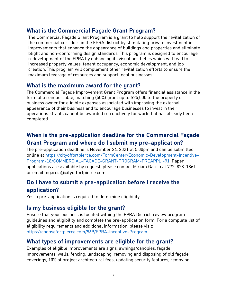#### **What is the Commercial Façade Grant Program?**

The Commercial Façade Grant Program is a grant to help support the revitalization of the commercial corridors in the FPRA district by stimulating private investment in improvements that enhance the appearance of buildings and properties and eliminate blight and non-conforming design standards. This program is designed to encourage redevelopment of the FPRA by enhancing its visual aesthetics which will lead to increased property values, tenant occupancy, economic development, and job creation. This program will complement other revitalization efforts to ensure the maximum leverage of resources and support local businesses.

#### **What is the maximum award for the grant?**

The Commercial Façade Improvement Grant Program offers financial assistance in the form of a reimbursable, matching (50%) grant up to \$25,000 to the property or business owner for eligible expenses associated with improving the external appearance of their business and to encourage businesses to invest in their operations. Grants cannot be awarded retroactively for work that has already been completed.

# **When is the pre-application deadline for the Commercial Façade Grant Program and where do I submit my pre-application?**

The pre-application deadline is November 24, 2021 at 5:00pm and can be submitted online at [https://cityoffortpierce.com/FormCenter/Economic-Development-Incentive-](https://cityoffortpierce.com/FormCenter/Economic-Development-Incentive-Program-18/COMMERCIAL-FACADE-GRANT-PROGRAM-PREAPPLI-91)[Program-18/COMMERCIAL-FACADE-GRANT-PROGRAM-PREAPPLI-91.](https://cityoffortpierce.com/FormCenter/Economic-Development-Incentive-Program-18/COMMERCIAL-FACADE-GRANT-PROGRAM-PREAPPLI-91) Paper applications are available by request, please contact Miriam Garcia at 772-828-1861 or email mgarcia@cityoffortpierce.com.

#### **Do I have to submit a pre-application before I receive the application?**

Yes, a pre-application is required to determine eligibility.

#### **Is my business eligible for the grant?**

Ensure that your business is located withing the FPRA District, review program guidelines and eligibility and complete the pre-application form. For a complete list of eligibility requirements and additional information, please visit: <https://choosefortpierce.com/969/FPRA-Incentive-Program>

#### **What types of improvements are eligible for the grant?**

Examples of eligible improvements are signs, awnings/canopies, façade improvements, walls, fencing, landscaping, removing and disposing of old façade coverings, 10% of project architectural fees, updating security features, removing